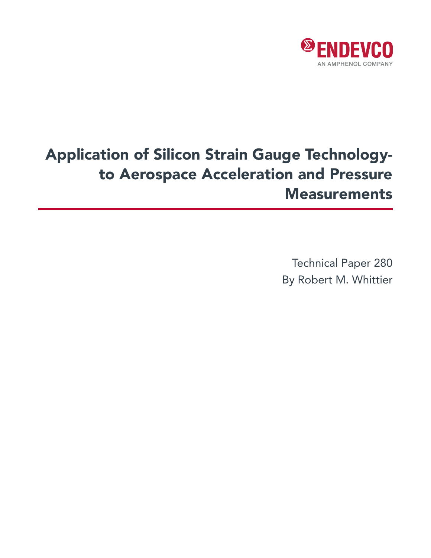

# Application of Silicon Strain Gauge Technologyto Aerospace Acceleration and Pressure **Measurements**

Technical Paper 280 By Robert M. Whittier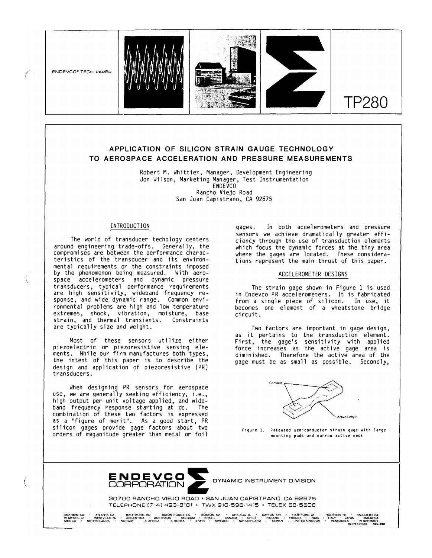

f



# **APPLICATION OF SILICON S TRAIN GAUGE TECHNOLOGY TO AEROSPACE ACCELERATION AND PRESSURE MEASUREMENTS**

Robert M. Whittier, Manager, Development Engineering Jon Wilson, Marketing Manager, Test Instrumentation ENDEVCO Rancho Viejo Road San Juan Capistrano, CA 92675

# INTRODUCTION

The world of transducer techology centers around engineering trade-offs. Generally, the compromises are between the performance characteristics of the transducer and its environmental requirements or the constraints imposed by the phenomenon being measured. With aerospace accelerometers and dynamic pressure transducers, typical performance requirements are high sensitivity, wideband frequency response, and wide dynamic range. Common environmental problems are high and low temperature extremes, shock, vibration, moisture, base strain, and thermal transients. Constraints are typically size and weight.

Most of these sensors utilize either piezoelectric or piezoresistive sensing elements. While our firm manufactures both types, the intent of this paper is to describe the design and application of piezoresistive (PR) transducers.

When designing PR sensors for aerospace use, we are generally seeking efficiency, i.e., high output per unit voltage applied, and wideband frequency response starting at dc. The combination of these two factors is expressed as a "figure of merit". As a good start, PR silicon gages provide gage factors about two orders of maganitude greater than metal or foil

gages. In both accelerometers and pressure sensors we achieve dramatically greater efficiency through the use of transduction elements which focus the dynamic forces at the tiny area where the gages are located. These considerations represent the main thrust of this paper.

TP280

### ACCELEROMETER DESIGNS

The strain gage shown in Figure 1 is used in Endevco PR accelerometers. It is fabricated from a single piece of silicon. In use, it becomes one element of a wheatstone bridge circuit.

Two factors are important in gage design, as it pertains to the transduction element. First, the gage's sensitivity with applied force increases as the active gage area is diminished. Therefore the active area of the gage must be as small as possible. Secondly,



Figure I. Patented semiconductor strain gage with large mounting pads and narrow active neck



30700 RANCHO VIEJO ROAD • SAN JUAN CAPISTRANO, CA 82675 TELEPHONE [714) 493-8181 • TWX 910-596-1415 • TELEX 68-5608

ANAHEM.CA - ATLANTA.GA - BALTMOREMD - BATON-ROUGE,LA - BOSTON-MA - CHICAGO-IL - PORTON T-HARTFORD.CT - MALDATD.CA<br>WAMSTIC.CT - WESTVILLE.NJ - ARGENTINA - AUSTRALIA - BELGIUM - BRAŽIL - CANADA - CHILE - FINIAND - FRANCE -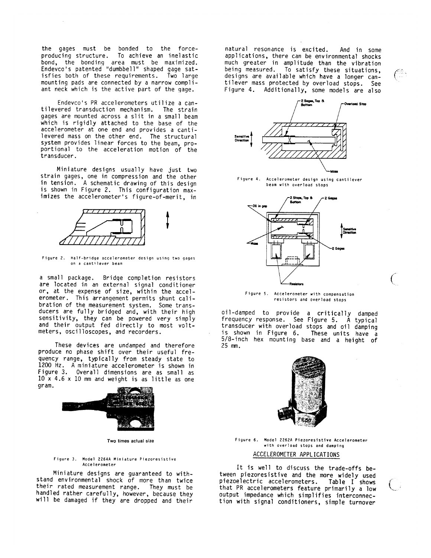the gages must be bonded to the forceproducing structure. To achieve an inelastic bond, the bonding area must be maximized.<br>Endevco's patented "dumbbell" shaped gage satisfies both of these requirements. Two large mounting pads are connected by a narrow compliant neck which is the active part of the gage.

Endevco's PR accelerometers utilize a cantilevered transduction mechanism. The strain gages are mounted across a slit in a small beam which is rigidly attached to the base of the<br>accelerometer at one end and provides a cantilevered mass on the other end. The structural system provides linear forces to the beam, proportional to the acceleration motion of the transducer.

Miniature designs usually have just two strain gages, one in compression and the other in tension. A schematic drawing of this design is shown in Figure 2. This configuration maximizes the accelerometer's figure-of-merit, in



Figure 2. Half-bridge accelerometer design using two gages on a cantilever beam

a small package. Bridge completion resistors are located in an external signal conditioner or, at the expense of size, within the accelerometer. This arrangement permits shunt calibration of the measurement system. Some transducers are fully bridged and, with their high sensitivity, they can be powered very simply<br>and their output fed directly to most voltmeters, oscilloscopes, and recorders.

These devices are undamped and therefore produce no phase shift over their useful frequency range, typically from steady state to 1200 Hz. A miniature accelerometer is shown in Figure 3. Overall dimensions are as small as  $10x$  4.6 x 10 mm and weight is as little as one gram.



Two times actual size

#### Figure 3. Model 2264A Miniature Piezoresistive Accelerometer

Miniature designs are guaranteed to withstand environmental shock of more than twice their rated measurement range. They must be<br>handled rather carefully, however, because they will be damaged if they are dropped and their

natural resonance is excited. And in some applications, there can be environmental shocks<br>much greater in amplitude than the vibration being measured. To satisfy these situations, designs are available which have a longer cantilever mass protected by overload stops. See Figure 4. Additionally, some models are also



Figure 4. Accelerometer design using cantilever beam with overload stops



Figure 5. Accelerometer with compensation resistors and overload stops

oil-damped to provide a critically damped frequency response. See Figure 5. A typical transducer with overload stops and oil damping is shown in Figure 6. These units have a 5/8-inch hex mounting base and a height of 25 mm.



Figure 6. Model 2262A Piezoresistive Accelerometer with overload stops and damping ACCELEROMETER APPLICATIONS

It is well to discuss the trade-offs between piezoresistive and the more widely used piezoelectric accelerometers. Table I shows that PR accelerometers feature primarily a low output impedance which simplifies interconnection with signal conditioners, simple turnover

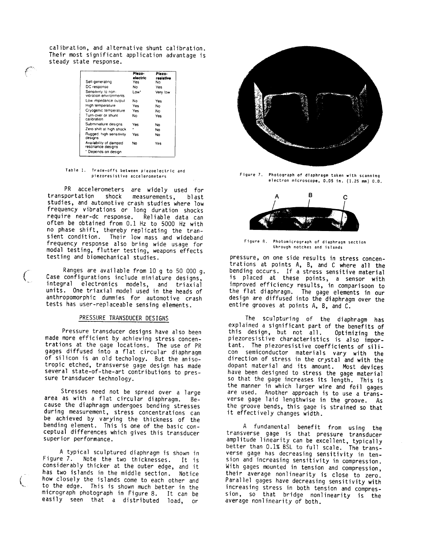calibration, and alternative shunt calibration. Their most significant application advantage is steady state response.

| Self-generating                                                  | Piezo-<br>electric<br>Yes | Plezo-<br>resistive<br>N٥ |
|------------------------------------------------------------------|---------------------------|---------------------------|
| DC response                                                      | No.                       | Yes                       |
| Sensitivity to non-<br>vibration environments                    | Low"                      | Very low                  |
| Low impedance output                                             | N٥                        | Yes                       |
| High temperature                                                 | Yes                       | No                        |
| Cryogenic temperature                                            | Yes                       | No                        |
| Turn-over or shunt<br>calibration                                | No                        | Yes                       |
| Subminiature designs                                             | Yes                       | No                        |
| Zero shift at high shock                                         |                           | No                        |
| Rugged, high sensitivity<br>designs                              | Yes                       | No                        |
| Availability of damped<br>resonance designs<br>Depends on design | No                        | Yes                       |

#### Table 1. Trade-offs between piezoelectric and piezoresistive accelerometers

PR accelerometers are widely used for transportation shock measurements, blast studies, and automotive crash studies where low frequency vibrations or long duration shocks require near-dc response. Reliable data can often be obtained from 0.1 Hz to 5000 Hz with no phase shift, thereby replicating the transient condition. Their low mass and wideband frequency response also bring wide usage for modal testing, flutter testing, weapons effects testing and biomechanical studies.

Ranges are available from 10 g to 50 000 q. Case configurations include miniature designs, integral electronics models, and triaxial units. One triaxial model used in the heads of anthropomorphic dummies for automotive crash tests has user-replaceable sensing elements.

# PRESSURE TRANSDUCER DESIGNS

Pressure transducer designs have also been made more efficient by achieving stress concen-<br>trations at the gage locations. The use of PR gages diffused into a flat circular diaphragm of silicon is an old techology. But the anisotropic etched, transverse gage design has made several state-of-the-art contributions to pressure transducer technology.

Stresses need not be spread over a large area as with a flat circular diaphragm.  $Be$ cause the diaphragm undergoes bending stresses during measurement, stress concentrations can be achieved by varying the thickness of the bending element. This is one of the basic conceptual differences which gives this transducer superior performance.

A typical sculptured diaphragm is shown in Figure 7. Note the two thicknesses. It is considerably thicker at the outer edge, and it has two islands in the middle section. Notice how closely the islands come to each other and to the edge. This is shown much better in the micrograph photograph in Figure 8. It can be easily seen that a distributed load, or



Figure 7. Photograph of diaphragm taken with scanning electron microscope, 0.05 in. (1.25 mm) 0.0.



Figure 8. Photomicrograph of diaphragm section through notches and islands

pressure, on one side results in stress concentrations at points A, B, and C where all the<br>bending occurs. If a stress sensitive material<br>is placed at these points, a sensor with improved efficiency results, in comparisoon to the flat diaphragm. The gage elements in our design are diffused into the diaphragm over the entire grooves at points A, B, and C.

The sculpturing of the diaphragm has explained a significant part of the benefits of this design, but not all. Optimizing the piezoresistive characteristics is also important. The piezoresistive coefficients of silicon semiconductor materials vary with the direction of stress in the crystal and with the dopant material and its amount. Most devices have been designed to stress the gage material so that the gage increases its length. This is the manner in which larger wire and foil gages are used. Another approach is to use a transverse gage laid lengthwise in the groove. As the groove bends, this gage is strained so that it effectively changes width.

A fundamental benefit from using the transverse gage is that pressure transducer amplitude linearity can be excellent, typically better than 0.1% BSL to full scale. The transverse gage has decreasing sensitivity in tension and increasing sensitivity in compression. With gages mounted in tension and compression, their average nonlinearity is close to zero. Parallel gages have decreasing sensitivity with increasing stress in both tension and compres-<br>sion, so that bridge nonlinearity is the average nonlinearity of both.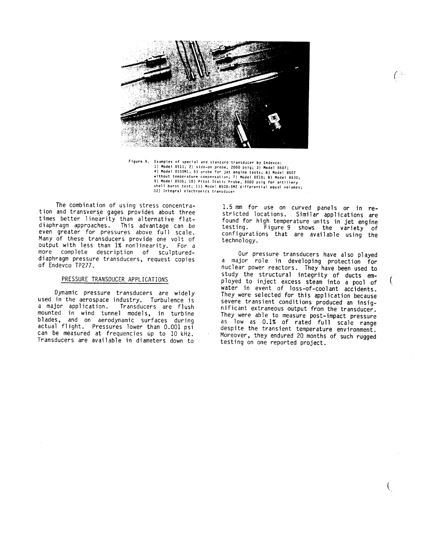

Figure 9. Examples of special and standard transducer by Endevco: Examples of special and standard transducer by endeved:<br>4) Model 8511; 2) side-on probe, 2000 psig; 3) Model 8507;<br>4) Model 8550M1; 5) probe for jet engine tests; 6) Model 8507<br>without temperature compensation; 7) Model 85 12) Integral electronics transducer

The combination of using stress concentration and transverse gages provides about three times better linearity than alternative flat-<br>diaphragm approaches. This advantage can be even greater for pressures above full scale. Many of these transducers provide one volt of output with less than 1% nonlinearity. For a more complete description of sculptureddiaphragm pressure transducers, request copies of Endevco TP277.

# PRESSURE TRANSDUCER APPLICATIONS

Dynamic pressure transducers are widely used in the aerospace industry. Turbulence is a major application. Transducers are flush mounted in wind tunnel models, in turbine<br>blades, and on aerodynamic surfaces during actual flight. Pressures lower than 0.001 psi can be measured at frequencies up to 10 kHz. Transducers are available in diameters down to

1.5 mm for use on curved panels or in restricted locations. Similar applications are found for high temperature units in jet engine testing. Figure 9 shows the variety of<br>configurations that are available using the technology.

Our pressure transducers have also played a major role in developing protection for nuclear power reactors. They have been used to study the structural integrity of ducts employed to inject excess steam into a pool of water in event of loss-of-coolant accidents. They were selected for this application because severe transient conditions produced an insignificant extraneous output from the transducer. They were able to measure post-impact pressure as low as 0.1% of rated full scale range despite the transient temperature environment. Moreover, they endured 20 months of such rugged testing on one reported project.

 $\int_0^{\frac{\pi}{2}}$